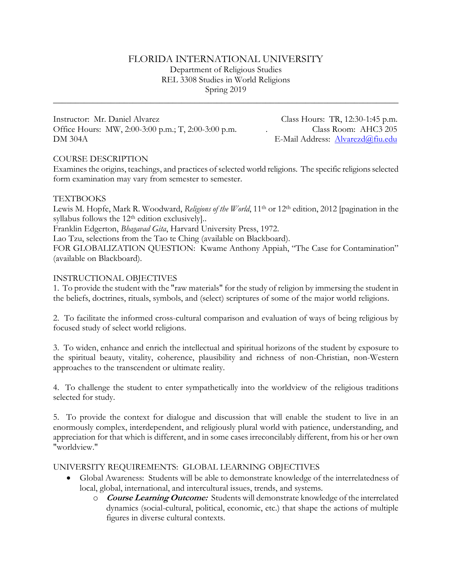## FLORIDA INTERNATIONAL UNIVERSITY

Department of Religious Studies REL 3308 Studies in World Religions Spring 2019

\_\_\_\_\_\_\_\_\_\_\_\_\_\_\_\_\_\_\_\_\_\_\_\_\_\_\_\_\_\_\_\_\_\_\_\_\_\_\_\_\_\_\_\_\_\_\_\_\_\_\_\_\_\_\_\_\_\_\_\_\_\_\_\_\_\_\_\_\_\_\_\_\_\_\_\_\_\_

Instructor: Mr. Daniel Alvarez Class Hours: TR, 12:30-1:45 p.m. Office Hours: MW, 2:00-3:00 p.m.; T, 2:00-3:00 p.m. . Class Room: AHC3 205 DM 304A E-Mail Address: [Alvarezd@fiu.edu](mailto:Alvarezd@fiu.edu)

## COURSE DESCRIPTION

Examines the origins, teachings, and practices of selected world religions. The specific religions selected form examination may vary from semester to semester.

## **TEXTBOOKS**

Lewis M. Hopfe, Mark R. Woodward, *Religions of the World*, 11<sup>th</sup> or 12<sup>th</sup> edition, 2012 [pagination in the syllabus follows the 12<sup>th</sup> edition exclusively]..

Franklin Edgerton, *Bhagavad Gita*, Harvard University Press, 1972.

Lao Tzu, selections from the Tao te Ching (available on Blackboard).

FOR GLOBALIZATION QUESTION: Kwame Anthony Appiah, "The Case for Contamination" (available on Blackboard).

## INSTRUCTIONAL OBJECTIVES

1. To provide the student with the "raw materials" for the study of religion by immersing the student in the beliefs, doctrines, rituals, symbols, and (select) scriptures of some of the major world religions.

2. To facilitate the informed cross-cultural comparison and evaluation of ways of being religious by focused study of select world religions.

3. To widen, enhance and enrich the intellectual and spiritual horizons of the student by exposure to the spiritual beauty, vitality, coherence, plausibility and richness of non-Christian, non-Western approaches to the transcendent or ultimate reality.

4. To challenge the student to enter sympathetically into the worldview of the religious traditions selected for study.

5. To provide the context for dialogue and discussion that will enable the student to live in an enormously complex, interdependent, and religiously plural world with patience, understanding, and appreciation for that which is different, and in some cases irreconcilably different, from his or her own "worldview."

## UNIVERSITY REQUIREMENTS: GLOBAL LEARNING OBJECTIVES

- Global Awareness: Students will be able to demonstrate knowledge of the interrelatedness of local, global, international, and intercultural issues, trends, and systems.
	- o **Course Learning Outcome:** Students will demonstrate knowledge of the interrelated dynamics (social-cultural, political, economic, etc.) that shape the actions of multiple figures in diverse cultural contexts.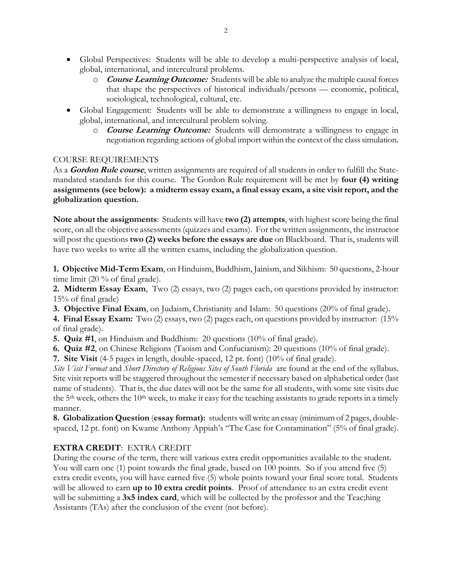- Global Perspectives: Students will be able to develop a multi-perspective analysis of local, global, international, and intercultural problems.
	- o **Course Learning Outcome:** Students will be able to analyze the multiple causal forces that shape the perspectives of historical individuals/persons — economic, political, sociological, technological, cultural, etc.
- Global Engagement: Students will be able to demonstrate a willingness to engage in local, global, international, and intercultural problem solving.
	- o **Course Learning Outcome:** Students will demonstrate a willingness to engage in negotiation regarding actions of global import within the context of the class simulation.

## COURSE REQUIREMENTS

As a **Gordon Rule course**, written assignments are required of all students in order to fulfill the Statemandated standards for this course. The Gordon Rule requirement will be met by **four (4) writing assignments (see below): a midterm essay exam, a final essay exam, a site visit report, and the globalization question.**

**Note about the assignments**: Students will have **two (2) attempts**, with highest score being the final score, on all the objective assessments (quizzes and exams). For the written assignments, the instructor will post the questions **two (2) weeks before the essays are due** on Blackboard. That is, students will have two weeks to write all the written exams, including the globalization question.

**1. Objective Mid-Term Exam**, on Hinduism, Buddhism, Jainism, and Sikhism: 50 questions, 2-hour time limit (20 % of final grade).

**2. Midterm Essay Exam**,Two (2) essays, two (2) pages each, on questions provided by instructor: 15% of final grade)

**3. Objective Final Exam**, on Judaism, Christianity and Islam: 50 questions (20% of final grade).

**4. Final Essay Exam:** Two (2) essays, two (2) pages each, on questions provided by instructor: (15% of final grade).

- **5. Quiz #1**, on Hinduism and Buddhism: 20 questions (10% of final grade).
- **6. Quiz #2**, on Chinese Religions (Taoism and Confucianism): 20 questions (10% of final grade).
- **7. Site Visit** (4-5 pages in length, double-spaced, 12 pt. font) (10% of final grade).

*Site Visit Format* and *Short Directory of Religious Sites of South Florida* are found at the end of the syllabus. Site visit reports will be staggered throughout the semester if necessary based on alphabetical order (last name of students). That is, the due dates will not be the same for all students, with some site visits due the 5<sup>th</sup> week, others the 10<sup>th</sup> week, to make it easy for the teaching assistants to grade reports in a timely manner.

**8. Globalization Question** (**essay format):** students will write an essay (minimum of 2 pages, doublespaced, 12 pt. font) on Kwame Anthony Appiah's "The Case for Contamination" (5% of final grade).

# **EXTRA CREDIT**: EXTRA CREDIT

During the course of the term, there will various extra credit opportunities available to the student. You will earn one (1) point towards the final grade, based on 100 points. So if you attend five (5) extra credit events, you will have earned five (5) whole points toward your final score total. Students will be allowed to earn **up to 10 extra credit points**. Proof of attendance to an extra credit event will be submitting a **3x5 index card**, which will be collected by the professor and the Teac;hing Assistants (TAs) after the conclusion of the event (not before).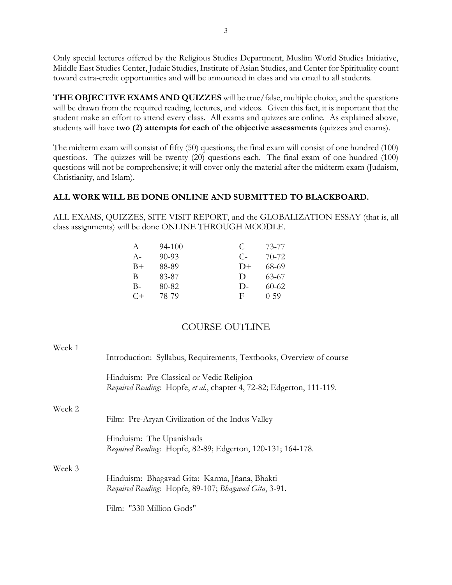Only special lectures offered by the Religious Studies Department, Muslim World Studies Initiative, Middle East Studies Center, Judaic Studies, Institute of Asian Studies, and Center for Spirituality count toward extra-credit opportunities and will be announced in class and via email to all students.

**THE OBJECTIVE EXAMS AND QUIZZES** will be true/false, multiple choice, and the questions will be drawn from the required reading, lectures, and videos. Given this fact, it is important that the student make an effort to attend every class. All exams and quizzes are online. As explained above, students will have **two (2) attempts for each of the objective assessments** (quizzes and exams).

The midterm exam will consist of fifty (50) questions; the final exam will consist of one hundred (100) questions. The quizzes will be twenty (20) questions each. The final exam of one hundred (100) questions will not be comprehensive; it will cover only the material after the midterm exam (Judaism, Christianity, and Islam).

# **ALL WORK WILL BE DONE ONLINE AND SUBMITTED TO BLACKBOARD.**

ALL EXAMS, QUIZZES, SITE VISIT REPORT, and the GLOBALIZATION ESSAY (that is, all class assignments) will be done ONLINE THROUGH MOODLE.

| A     | 94-100    | €      | 73-77     |
|-------|-----------|--------|-----------|
| $A -$ | $90 - 93$ | $C$ -  | 70-72     |
| B+    | 88-89     | $D+$   | 68-69     |
| В     | 83-87     | $\Box$ | 63-67     |
| B-    | 80-82     | $D-$   | $60 - 62$ |
| $C+$  | 78-79     | F      | $0 - 59$  |

# COURSE OUTLINE

| Week 1 |                                                                                                                    |  |
|--------|--------------------------------------------------------------------------------------------------------------------|--|
|        | Introduction: Syllabus, Requirements, Textbooks, Overview of course                                                |  |
|        | Hinduism: Pre-Classical or Vedic Religion<br>Required Reading: Hopfe, et al., chapter 4, 72-82; Edgerton, 111-119. |  |
| Week 2 |                                                                                                                    |  |
|        | Film: Pre-Aryan Civilization of the Indus Valley                                                                   |  |
|        | Hinduism: The Upanishads<br>Required Reading: Hopfe, 82-89; Edgerton, 120-131; 164-178.                            |  |
| Week 3 |                                                                                                                    |  |
|        | Hinduism: Bhagavad Gita: Karma, Jñana, Bhakti<br>Required Reading. Hopfe, 89-107; Bhagavad Gita, 3-91.             |  |
|        | Film: "330 Million Gods"                                                                                           |  |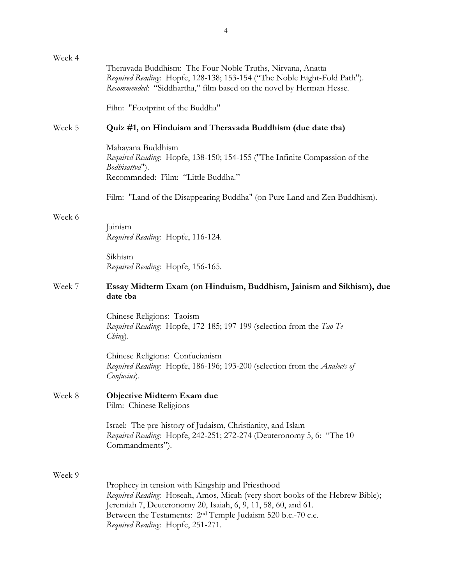| Week 4 | Theravada Buddhism: The Four Noble Truths, Nirvana, Anatta<br>Required Reading: Hopfe, 128-138; 153-154 ("The Noble Eight-Fold Path").<br>Recommended: "Siddhartha," film based on the novel by Herman Hesse.                                                                                                      |  |
|--------|--------------------------------------------------------------------------------------------------------------------------------------------------------------------------------------------------------------------------------------------------------------------------------------------------------------------|--|
|        | Film: "Footprint of the Buddha"                                                                                                                                                                                                                                                                                    |  |
| Week 5 | Quiz #1, on Hinduism and Theravada Buddhism (due date tba)                                                                                                                                                                                                                                                         |  |
|        | Mahayana Buddhism<br>Required Reading. Hopfe, 138-150; 154-155 ("The Infinite Compassion of the<br>Bodhisattva").<br>Recommnded: Film: "Little Buddha."                                                                                                                                                            |  |
|        | Film: "Land of the Disappearing Buddha" (on Pure Land and Zen Buddhism).                                                                                                                                                                                                                                           |  |
| Week 6 | Jainism<br>Required Reading. Hopfe, 116-124.                                                                                                                                                                                                                                                                       |  |
|        | Sikhism<br>Required Reading. Hopfe, 156-165.                                                                                                                                                                                                                                                                       |  |
| Week 7 | Essay Midterm Exam (on Hinduism, Buddhism, Jainism and Sikhism), due<br>date tba                                                                                                                                                                                                                                   |  |
|        | Chinese Religions: Taoism<br>Required Reading: Hopfe, 172-185; 197-199 (selection from the Tao Te<br>Ching).                                                                                                                                                                                                       |  |
|        | Chinese Religions: Confucianism<br>Required Reading. Hopfe, 186-196; 193-200 (selection from the Analects of<br>Confucius).                                                                                                                                                                                        |  |
| Week 8 | Objective Midterm Exam due<br>Film: Chinese Religions                                                                                                                                                                                                                                                              |  |
|        | Israel: The pre-history of Judaism, Christianity, and Islam<br>Required Reading: Hopfe, 242-251; 272-274 (Deuteronomy 5, 6: "The 10<br>Commandments").                                                                                                                                                             |  |
| Week 9 | Prophecy in tension with Kingship and Priesthood<br>Required Reading: Hoseah, Amos, Micah (very short books of the Hebrew Bible);<br>Jeremiah 7, Deuteronomy 20, Isaiah, 6, 9, 11, 58, 60, and 61.<br>Between the Testaments: 2 <sup>nd</sup> Temple Judaism 520 b.c.-70 c.e.<br>Required Reading: Hopfe, 251-271. |  |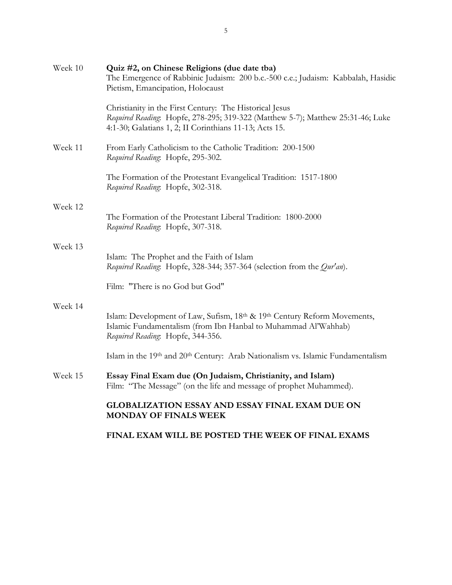| Week 10 | Quiz #2, on Chinese Religions (due date tba)<br>The Emergence of Rabbinic Judaism: 200 b.c.-500 c.e.; Judaism: Kabbalah, Hasidic<br>Pietism, Emancipation, Holocaust                                 |
|---------|------------------------------------------------------------------------------------------------------------------------------------------------------------------------------------------------------|
|         | Christianity in the First Century: The Historical Jesus<br>Required Reading: Hopfe, 278-295; 319-322 (Matthew 5-7); Matthew 25:31-46; Luke<br>4:1-30; Galatians 1, 2; II Corinthians 11-13; Acts 15. |
| Week 11 | From Early Catholicism to the Catholic Tradition: 200-1500<br>Required Reading: Hopfe, 295-302.                                                                                                      |
|         | The Formation of the Protestant Evangelical Tradition: 1517-1800<br>Required Reading: Hopfe, 302-318.                                                                                                |
| Week 12 | The Formation of the Protestant Liberal Tradition: 1800-2000<br>Required Reading: Hopfe, 307-318.                                                                                                    |
| Week 13 | Islam: The Prophet and the Faith of Islam<br>Required Reading: Hopfe, 328-344; 357-364 (selection from the Qur'an).                                                                                  |
|         | Film: "There is no God but God"                                                                                                                                                                      |
| Week 14 | Islam: Development of Law, Sufism, 18th & 19th Century Reform Movements,<br>Islamic Fundamentalism (from Ibn Hanbal to Muhammad Al'Wahhab)<br>Required Reading: Hopfe, 344-356.                      |
|         | Islam in the 19th and 20th Century: Arab Nationalism vs. Islamic Fundamentalism                                                                                                                      |
| Week 15 | Essay Final Exam due (On Judaism, Christianity, and Islam)<br>Film: "The Message" (on the life and message of prophet Muhammed).                                                                     |
|         | <b>GLOBALIZATION ESSAY AND ESSAY FINAL EXAM DUE ON</b><br>MONDAY OF FINALS WEEK                                                                                                                      |
|         | FINAL EXAM WILL BE POSTED THE WEEK OF FINAL EXAMS                                                                                                                                                    |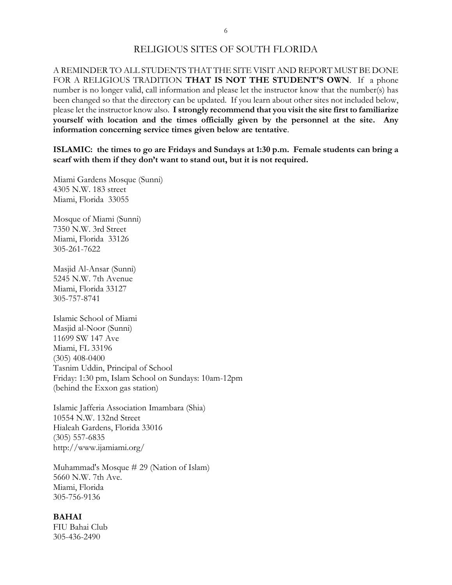## RELIGIOUS SITES OF SOUTH FLORIDA

A REMINDER TO ALL STUDENTS THAT THE SITE VISIT AND REPORT MUST BE DONE FOR A RELIGIOUS TRADITION **THAT IS NOT THE STUDENT'S OWN**. If a phone number is no longer valid, call information and please let the instructor know that the number(s) has been changed so that the directory can be updated. If you learn about other sites not included below, please let the instructor know also. **I strongly recommend that you visit the site first to familiarize yourself with location and the times officially given by the personnel at the site. Any information concerning service times given below are tentative**.

**ISLAMIC: the times to go are Fridays and Sundays at 1:30 p.m. Female students can bring a scarf with them if they don't want to stand out, but it is not required.**

Miami Gardens Mosque (Sunni) 4305 N.W. 183 street Miami, Florida 33055

Mosque of Miami (Sunni) 7350 N.W. 3rd Street Miami, Florida 33126 305-261-7622

Masjid Al-Ansar (Sunni) 5245 N.W. 7th Avenue Miami, Florida 33127 305-757-8741

Islamic School of Miami Masjid al-Noor (Sunni) 11699 SW 147 Ave Miami, FL 33196 (305) 408-0400 Tasnim Uddin, Principal of School Friday: 1:30 pm, Islam School on Sundays: 10am-12pm (behind the Exxon gas station)

Islamic Jafferia Association Imambara (Shia) 10554 N.W. 132nd Street Hialeah Gardens, Florida 33016 (305) 557-6835 http://www.ijamiami.org/

Muhammad's Mosque # 29 (Nation of Islam) 5660 N.W. 7th Ave. Miami, Florida 305-756-9136

### **BAHAI**

FIU Bahai Club 305-436-2490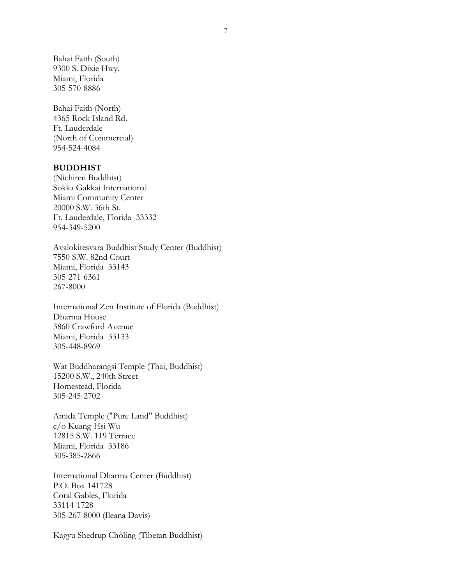Bahai Faith (South) 9300 S. Dixie Hwy. Miami, Florida 305-570-8886

Bahai Faith (North) 4365 Rock Island Rd. Ft. Lauderdale (North of Commercial) 954-524-4084

#### **BUDDHIST**

(Nichiren Buddhist) Sokka Gakkai International Miami Community Center 20000 S.W. 36th St. Ft. Lauderdale, Florida 33332 954-349-5200

Avalokitesvara Buddhist Study Center (Buddhist) 7550 S.W. 82nd Court Miami, Florida 33143 305-271-6361 267-8000

International Zen Institute of Florida (Buddhist) Dharma House 3860 Crawford Avenue Miami, Florida 33133 305-448-8969

Wat Buddharangsi Temple (Thai, Buddhist) 15200 S.W., 240th Street Homestead, Florida 305-245-2702

Amida Temple ("Pure Land" Buddhist) c/o Kuang-Hsi Wu 12815 S.W. 119 Terrace Miami, Florida 33186 305-385-2866

International Dharma Center (Buddhist) P.O. Box 141728 Coral Gables, Florida 33114-1728 305-267-8000 (Ileana Davis)

Kagyu Shedrup Chöling (Tibetan Buddhist)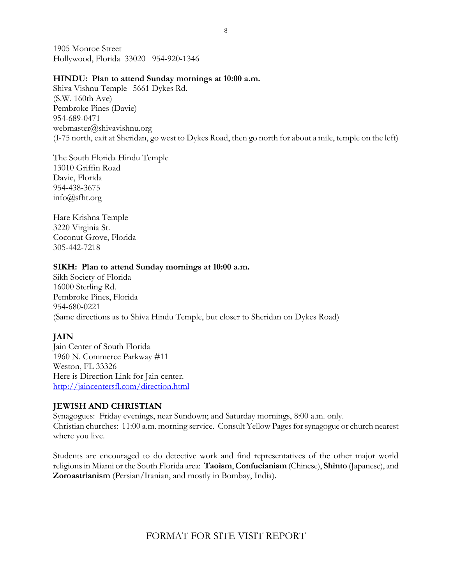1905 Monroe Street Hollywood, Florida 33020 954-920-1346

### **HINDU: Plan to attend Sunday mornings at 10:00 a.m.**

Shiva Vishnu Temple 5661 Dykes Rd. (S.W. 160th Ave) Pembroke Pines (Davie) 954-689-0471 webmaster@shivavishnu.org (I-75 north, exit at Sheridan, go west to Dykes Road, then go north for about a mile, temple on the left)

The South Florida Hindu Temple 13010 Griffin Road Davie, Florida 954-438-3675 info@sfht.org

Hare Krishna Temple 3220 Virginia St. Coconut Grove, Florida 305-442-7218

## **SIKH: Plan to attend Sunday mornings at 10:00 a.m.**

Sikh Society of Florida 16000 Sterling Rd. Pembroke Pines, Florida 954-680-0221 (Same directions as to Shiva Hindu Temple, but closer to Sheridan on Dykes Road)

# **JAIN**

Jain Center of South Florida 1960 N. Commerce Parkway #11 Weston, FL 33326 Here is Direction Link for Jain center. <http://jaincentersfl.com/direction.html>

# **JEWISH AND CHRISTIAN**

Synagogues: Friday evenings, near Sundown; and Saturday mornings, 8:00 a.m. only. Christian churches: 11:00 a.m. morning service. Consult Yellow Pages for synagogue or church nearest where you live.

Students are encouraged to do detective work and find representatives of the other major world religions in Miami or the South Florida area: **Taoism**, **Confucianism** (Chinese), **Shinto** (Japanese), and **Zoroastrianism** (Persian/Iranian, and mostly in Bombay, India).